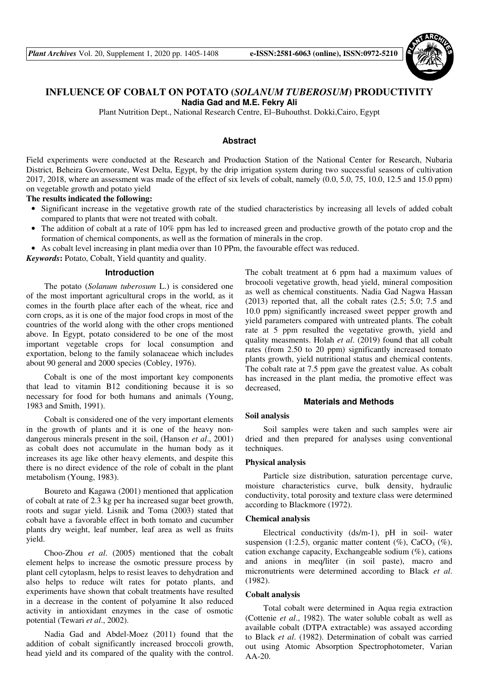

# **INFLUENCE OF COBALT ON POTATO (***SOLANUM TUBEROSUM***) PRODUCTIVITY Nadia Gad and M.E. Fekry Ali**

Plant Nutrition Dept., National Research Centre, El–Buhouthst. Dokki,Cairo, Egypt

## **Abstract**

Field experiments were conducted at the Research and Production Station of the National Center for Research, Nubaria District, Beheira Governorate, West Delta, Egypt, by the drip irrigation system during two successful seasons of cultivation 2017, 2018, where an assessment was made of the effect of six levels of cobalt, namely (0.0, 5.0, 75, 10.0, 12.5 and 15.0 ppm) on vegetable growth and potato yield

**The results indicated the following:** 

- Significant increase in the vegetative growth rate of the studied characteristics by increasing all levels of added cobalt compared to plants that were not treated with cobalt.
- The addition of cobalt at a rate of 10% ppm has led to increased green and productive growth of the potato crop and the formation of chemical components, as well as the formation of minerals in the crop.
- As cobalt level increasing in plant media over than 10 PPm, the favourable effect was reduced.

*Keywords***:** Potato, Cobalt, Yield quantity and quality.

#### **Introduction**

The potato (*Solanum tuberosum* L.) is considered one of the most important agricultural crops in the world, as it comes in the fourth place after each of the wheat, rice and corn crops, as it is one of the major food crops in most of the countries of the world along with the other crops mentioned above. In Egypt, potato considered to be one of the most important vegetable crops for local consumption and exportation, belong to the family solanaceae which includes about 90 general and 2000 species (Cobley, 1976).

Cobalt is one of the most important key components that lead to vitamin B12 conditioning because it is so necessary for food for both humans and animals (Young, 1983 and Smith, 1991).

Cobalt is considered one of the very important elements in the growth of plants and it is one of the heavy nondangerous minerals present in the soil, (Hanson *et al*., 2001) as cobalt does not accumulate in the human body as it increases its age like other heavy elements, and despite this there is no direct evidence of the role of cobalt in the plant metabolism (Young, 1983).

Boureto and Kagawa (2001) mentioned that application of cobalt at rate of 2.3 kg per ha increased sugar beet growth, roots and sugar yield. Lisnik and Toma (2003) stated that cobalt have a favorable effect in both tomato and cucumber plants dry weight, leaf number, leaf area as well as fruits yield.

Choo-Zhou *et al*. (2005) mentioned that the cobalt element helps to increase the osmotic pressure process by plant cell cytoplasm, helps to resist leaves to dehydration and also helps to reduce wilt rates for potato plants, and experiments have shown that cobalt treatments have resulted in a decrease in the content of polyamine It also reduced activity in antioxidant enzymes in the case of osmotic potential (Tewari *et al*., 2002).

Nadia Gad and Abdel-Moez (2011) found that the addition of cobalt significantly increased broccoli growth, head yield and its compared of the quality with the control. The cobalt treatment at 6 ppm had a maximum values of brocooli vegetative growth, head yield, mineral composition as well as chemical constituents. Nadia Gad Nagwa Hassan (2013) reported that, all the cobalt rates (2.5; 5.0; 7.5 and 10.0 ppm) significantly increased sweet pepper growth and yield parameters compared with untreated plants. The cobalt rate at 5 ppm resulted the vegetative growth, yield and quality measments. Holah *et al*. (2019) found that all cobalt rates (from 2.50 to 20 ppm) significantly increased tomato plants growth, yield nutritional status and chemical contents. The cobalt rate at 7.5 ppm gave the greatest value. As cobalt has increased in the plant media, the promotive effect was decreased,

## **Materials and Methods**

## **Soil analysis**

Soil samples were taken and such samples were air dried and then prepared for analyses using conventional techniques.

## **Physical analysis**

Particle size distribution, saturation percentage curve, moisture characteristics curve, bulk density, hydraulic conductivity, total porosity and texture class were determined according to Blackmore (1972).

#### **Chemical analysis**

Electrical conductivity (ds/m-1), pH in soil- water suspension (1:2.5), organic matter content  $(\%)$ , CaCO<sub>3</sub>  $(\%)$ , cation exchange capacity, Exchangeable sodium (%), cations and anions in meq/liter (in soil paste), macro and micronutrients were determined according to Black *et al*. (1982).

## **Cobalt analysis**

Total cobalt were determined in Aqua regia extraction (Cottenie *et al*., 1982). The water soluble cobalt as well as available cobalt (DTPA extractable) was assayed according to Black *et al*. (1982). Determination of cobalt was carried out using Atomic Absorption Spectrophotometer, Varian AA-20.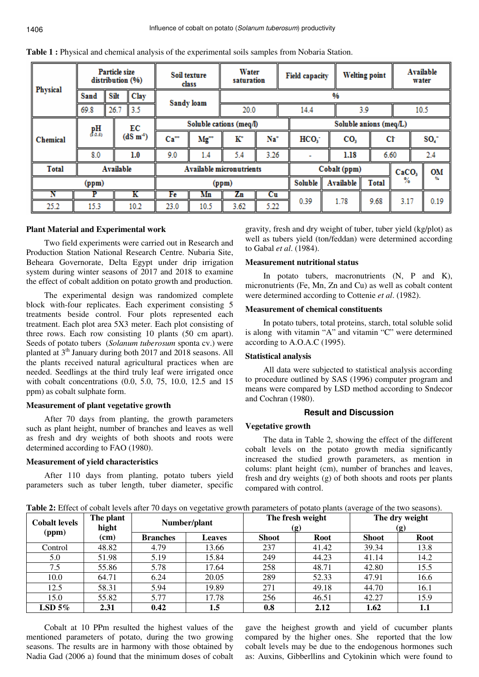| Physical        | Particle size<br>distribution (%) |      |            | Soil texture<br>class           |           | Water<br>saturation |                  |                        | <b>Field capacity</b> |                   | Available<br><b>Welting point</b> |                 |  |
|-----------------|-----------------------------------|------|------------|---------------------------------|-----------|---------------------|------------------|------------------------|-----------------------|-------------------|-----------------------------------|-----------------|--|
|                 | <b>Sand</b>                       | Silt | Clay       | Sandy loam                      |           | %                   |                  |                        |                       |                   |                                   |                 |  |
|                 | 69.8                              | 26.7 | 3.5        |                                 |           | 20.0                |                  | 14.4                   | 3.9                   |                   |                                   | 10.5            |  |
| <b>Chemical</b> | $R_{d,2,5}^{\rm \bf H}$           |      | ЕC         | Soluble cations (meq/l)         |           |                     |                  | Soluble anions (meq/L) |                       |                   |                                   |                 |  |
|                 |                                   |      | $(dS m-4)$ | $Ca**$                          | $Mg^{**}$ | к                   | Na*              | HCO <sub>3</sub>       | CO <sub>3</sub>       |                   | Cŀ                                | SO <sub>4</sub> |  |
|                 | 8.0                               |      | 1.0        | 9.0                             | 1.4       | 5.4                 | 3.26             | ۰                      | 1.18                  |                   | 6.60                              | 2.4             |  |
| <b>Total</b>    | Available                         |      |            | <b>Available micronutrients</b> |           |                     |                  | Cobalt (ppm)           |                       | CaCO <sub>3</sub> | OM                                |                 |  |
| (ppm)           |                                   |      | (ppm)      |                                 |           | Soluble             | <b>Available</b> | %<br><b>Total</b>      |                       |                   |                                   |                 |  |
| N               | P                                 |      | ĸ          | Fe                              | Mn        | Zn                  | Сu               |                        |                       |                   | 3.17                              |                 |  |
| 25.2            | 15.3                              |      | 10.2       | 23.0                            | 10.5      | 3.62                | 5.22             | 0.39                   | 1.78                  | 9.68              |                                   | 0.19            |  |

**Table 1 :** Physical and chemical analysis of the experimental soils samples from Nobaria Station.

## **Plant Material and Experimental work**

Two field experiments were carried out in Research and Production Station National Research Centre. Nubaria Site, Beheara Governorate, Delta Egypt under drip irrigation system during winter seasons of 2017 and 2018 to examine the effect of cobalt addition on potato growth and production.

The experimental design was randomized complete block with-four replicates. Each experiment consisting 5 treatments beside control. Four plots represented each treatment. Each plot area 5X3 meter. Each plot consisting of three rows. Each row consisting 10 plants (50 cm apart). Seeds of potato tubers (*Solanum tuberosum* sponta cv.) were planted at 3<sup>th</sup> January during both 2017 and 2018 seasons. All the plants received natural agricultural practices when are needed. Seedlings at the third truly leaf were irrigated once with cobalt concentrations (0.0, 5.0, 75, 10.0, 12.5 and 15 ppm) as cobalt sulphate form.

## **Measurement of plant vegetative growth**

After 70 days from planting, the growth parameters such as plant height, number of branches and leaves as well as fresh and dry weights of both shoots and roots were determined according to FAO (1980).

## **Measurement of yield characteristics**

After 110 days from planting, potato tubers yield parameters such as tuber length, tuber diameter, specific gravity, fresh and dry weight of tuber, tuber yield (kg/plot) as well as tubers yield (ton/feddan) were determined according to Gabal *et al*. (1984).

## **Measurement nutritional status**

In potato tubers, macronutrients (N, P and K), micronutrients (Fe, Mn, Zn and Cu) as well as cobalt content were determined according to Cottenie *et al*. (1982).

## **Measurement of chemical constituents**

In potato tubers, total proteins, starch, total soluble solid is along with vitamin "A" and vitamin "C" were determined according to A.O.A.C (1995).

## **Statistical analysis**

All data were subjected to statistical analysis according to procedure outlined by SAS (1996) computer program and means were compared by LSD method according to Sndecor and Cochran (1980).

## **Result and Discussion**

## **Vegetative growth**

The data in Table 2, showing the effect of the different cobalt levels on the potato growth media significantly increased the studied growth parameters, as mention in colums: plant height (cm), number of branches and leaves, fresh and dry weights (g) of both shoots and roots per plants compared with control.

**Table 2:** Effect of cobalt levels after 70 days on vegetative growth parameters of potato plants (average of the two seasons).

| <b>Cobalt levels</b><br>(ppm) | The plant<br>hight |                 | Number/plant  |              | The fresh weight<br>(g) | The dry weight<br>(g) |             |
|-------------------------------|--------------------|-----------------|---------------|--------------|-------------------------|-----------------------|-------------|
|                               | (cm)               | <b>Branches</b> | <b>Leaves</b> | <b>Shoot</b> | <b>Root</b>             | <b>Shoot</b>          | <b>Root</b> |
| Control                       | 48.82              | 4.79            | 13.66         | 237          | 41.42                   | 39.34                 | 13.8        |
| 5.0                           | 51.98              | 5.19            | 15.84         | 249          | 44.23                   | 41.14                 | 14.2        |
| 7.5                           | 55.86              | 5.78            | 17.64         | 258          | 48.71                   | 42.80                 | 15.5        |
| 10.0                          | 64.71              | 6.24            | 20.05         | 289          | 52.33                   | 47.91                 | 16.6        |
| 12.5                          | 58.31              | 5.94            | 19.89         | 271          | 49.18                   | 44.70                 | 16.1        |
| 15.0                          | 55.82              | 5.77            | 17.78         | 256          | 46.51                   | 42.27                 | 15.9        |
| $LSD$ 5%                      | 2.31               | 0.42            | $1.5\,$       | 0.8          | 2.12                    | 1.62                  | 1.1         |

Cobalt at 10 PPm resulted the highest values of the mentioned parameters of potato, during the two growing seasons. The results are in harmony with those obtained by Nadia Gad (2006 a) found that the minimum doses of cobalt gave the heighest growth and yield of cucumber plants compared by the higher ones. She reported that the low cobalt levels may be due to the endogenous hormones such as: Auxins, Gibberllins and Cytokinin which were found to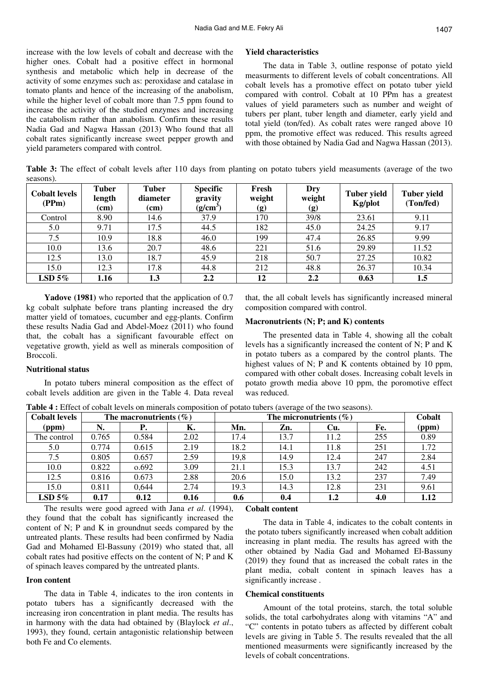increase with the low levels of cobalt and decrease with the higher ones. Cobalt had a positive effect in hormonal synthesis and metabolic which help in decrease of the activity of some enzymes such as: peroxidase and catalase in tomato plants and hence of the increasing of the anabolism, while the higher level of cobalt more than 7.5 ppm found to increase the activity of the studied enzymes and increasing the catabolism rather than anabolism. Confirm these results Nadia Gad and Nagwa Hassan (2013) Who found that all cobalt rates significantly increase sweet pepper growth and yield parameters compared with control.

#### **Yield characteristics**

The data in Table 3, outline response of potato yield measurments to different levels of cobalt concentrations. All cobalt levels has a promotive effect on potato tuber yield compared with control. Cobalt at 10 PPm has a greatest values of yield parameters such as number and weight of tubers per plant, tuber length and diameter, early yield and total yield (ton/fed). As cobalt rates were ranged above 10 ppm, the promotive effect was reduced. This results agreed with those obtained by Nadia Gad and Nagwa Hassan (2013).

**Table 3:** The effect of cobalt levels after 110 days from planting on potato tubers yield measuments (average of the two seasons).

| <b>Cobalt levels</b><br>(PPm) | <b>Tuber</b><br>length<br>(cm) | <b>Tuber</b><br>diameter<br>(cm) | <b>Specific</b><br>gravity<br>$(g/cm^3)$ | Fresh<br>weight<br>(g) | Dry<br>weight<br>(g) | <b>Tuber yield</b><br>Kg/plot | <b>Tuber yield</b><br>(Ton/fed) |
|-------------------------------|--------------------------------|----------------------------------|------------------------------------------|------------------------|----------------------|-------------------------------|---------------------------------|
| Control                       | 8.90                           | 14.6                             | 37.9                                     | 170                    | 39/8                 | 23.61                         | 9.11                            |
| 5.0                           | 9.71                           | 17.5                             | 44.5                                     | 182                    | 45.0                 | 24.25                         | 9.17                            |
| 7.5                           | 10.9                           | 18.8                             | 46.0                                     | 199                    | 47.4                 | 26.85                         | 9.99                            |
| 10.0                          | 13.6                           | 20.7                             | 48.6                                     | 221                    | 51.6                 | 29.89                         | 11.52                           |
| 12.5                          | 13.0                           | 18.7                             | 45.9                                     | 218                    | 50.7                 | 27.25                         | 10.82                           |
| 15.0                          | 12.3                           | 17.8                             | 44.8                                     | 212                    | 48.8                 | 26.37                         | 10.34                           |
| LSD $5\%$                     | 1.16                           | 1.3                              | 2.2                                      | 12                     | 2.2                  | 0.63                          | 1.5                             |

**Yadove (1981)** who reported that the application of 0.7 kg cobalt sulphate before trans planting increased the dry matter yield of tomatoes, cucumber and egg-plants. Confirm these results Nadia Gad and Abdel-Moez (2011) who found that, the cobalt has a significant favourable effect on vegetative growth, yield as well as minerals composition of Broccoli.

## **Nutritional status**

In potato tubers mineral composition as the effect of cobalt levels addition are given in the Table 4. Data reveal that, the all cobalt levels has significantly increased mineral composition compared with control.

#### **Macronutrients (N; P; and K) contents**

The presented data in Table 4, showing all the cobalt levels has a significantly increased the content of N; P and K in potato tubers as a compared by the control plants. The highest values of N; P and K contents obtained by 10 ppm, compared with other cobalt doses. Increasing cobalt levels in potato growth media above 10 ppm, the poromotive effect was reduced.

**Table 4 :** Effect of cobalt levels on minerals composition of potato tubers (average of the two seasons).

| <b>Cobalt levels</b> |       | The macronutrients $(\% )$ |      |      | Cobalt |      |     |       |
|----------------------|-------|----------------------------|------|------|--------|------|-----|-------|
| (ppm)                | N.    | Р.                         | К.   | Mn.  | Zn.    | Cu.  | Fe. | (ppm) |
| The control          | 0.765 | 0.584                      | 2.02 | 17.4 | 13.7   | 11.2 | 255 | 0.89  |
| 5.0                  | 0.774 | 0.615                      | 2.19 | 18.2 | 14.1   | 11.8 | 251 | 1.72  |
| 7.5                  | 0.805 | 0.657                      | 2.59 | 19,8 | 14.9   | 12.4 | 247 | 2.84  |
| 10.0                 | 0.822 | 0.692                      | 3.09 | 21.1 | 15.3   | 13.7 | 242 | 4.51  |
| 12.5                 | 0.816 | 0.673                      | 2.88 | 20.6 | 15.0   | 13.2 | 237 | 7.49  |
| 15.0                 | 0.811 | 0,644                      | 2.74 | 19.3 | 14.3   | 12.8 | 231 | 9.61  |
| $LSD$ 5%             | 0.17  | 0.12                       | 0.16 | 0.6  | 0.4    | 1.2  | 4.0 | 1.12  |

The results were good agreed with Jana *et al*. (1994), they found that the cobalt has significantly increased the content of N; P and K in groundnut seeds compared by the untreated plants. These results had been confirmed by Nadia Gad and Mohamed El-Bassuny (2019) who stated that, all cobalt rates had positive effects on the content of N; P and K of spinach leaves compared by the untreated plants.

#### **Iron content**

The data in Table 4, indicates to the iron contents in potato tubers has a significantly decreased with the increasing iron concentration in plant media. The results has in harmony with the data had obtained by (Blaylock *et al*., 1993), they found, certain antagonistic relationship between both Fe and Co elements.

## **Cobalt content**

The data in Table 4, indicates to the cobalt contents in the potato tubers significantly increased when cobalt addition increasing in plant media. The results has agreed with the other obtained by Nadia Gad and Mohamed El-Bassuny (2019) they found that as increased the cobalt rates in the plant media, cobalt content in spinach leaves has a significantly increase .

## **Chemical constituents**

Amount of the total proteins, starch, the total soluble solids, the total carbohydrates along with vitamins "A" and "C" contents in potato tubers as affected by different cobalt levels are giving in Table 5. The results revealed that the all mentioned measurments were significantly increased by the levels of cobalt concentrations.